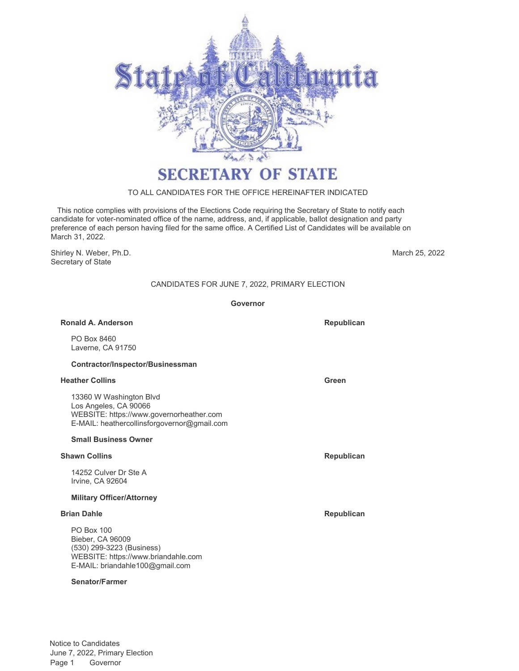

# **SECRETARY OF STATE**

## TO ALL CANDIDATES FOR THE OFFICE HEREINAFTER INDICATED

 This notice complies with provisions of the Elections Code requiring the Secretary of State to notify each candidate for voter-nominated office of the name, address, and, if applicable, ballot designation and party preference of each person having filed for the same office. A Certified List of Candidates will be available on March 31, 2022.

Shirley N. Weber, Ph.D. Secretary of State

March 25, 2022

## CANDIDATES FOR JUNE 7, 2022, PRIMARY ELECTION

**Governor**

## **Ronald A. Anderson Republican Republican Republican**

PO Box 8460 Laverne, CA 91750

## **Contractor/Inspector/Businessman**

## **Heather Collins Green**

13360 W Washington Blvd Los Angeles, CA 90066 WEBSITE: https://www.governorheather.com E-MAIL: heathercollinsforgovernor@gmail.com

## **Small Business Owner**

## **Shawn Collins Republican**

14252 Culver Dr Ste A Irvine, CA 92604

## **Military Officer/Attorney**

PO Box 100 Bieber, CA 96009 (530) 299-3223 (Business) WEBSITE: https://www.briandahle.com E-MAIL: briandahle100@gmail.com

## **Senator/Farmer**

**Brian Dahle Republican**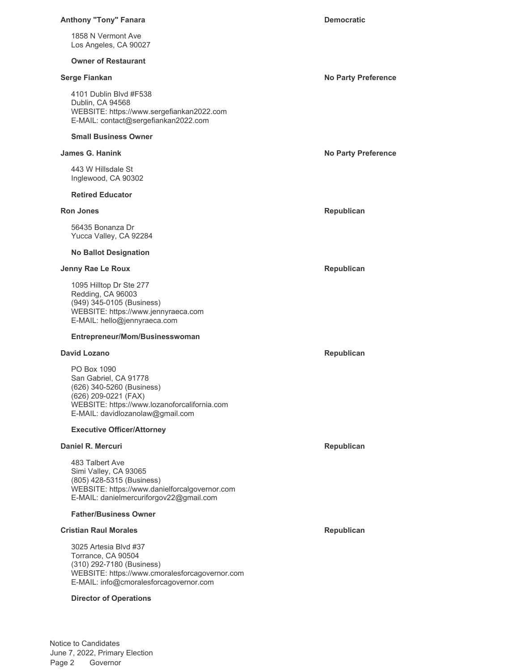### **Anthony "Tony" Fanara Democratic Democratic**

1858 N Vermont Ave Los Angeles, CA 90027

### **Owner of Restaurant**

4101 Dublin Blvd #F538 Dublin, CA 94568 WEBSITE: https://www.sergefiankan2022.com E-MAIL: contact@sergefiankan2022.com

### **Small Business Owner**

443 W Hillsdale St Inglewood, CA 90302

### **Retired Educator**

56435 Bonanza Dr Yucca Valley, CA 92284

## **No Ballot Designation**

### **Jenny Rae Le Roux Republican**

1095 Hilltop Dr Ste 277 Redding, CA 96003 (949) 345-0105 (Business) WEBSITE: https://www.jennyraeca.com E-MAIL: hello@jennyraeca.com

#### **Entrepreneur/Mom/Businesswoman**

## **David Lozano Republican**

PO Box 1090 San Gabriel, CA 91778 (626) 340-5260 (Business) (626) 209-0221 (FAX) WEBSITE: https://www.lozanoforcalifornia.com E-MAIL: davidlozanolaw@gmail.com

### **Executive Officer/Attorney**

## **Daniel R. Mercuri Republican**

483 Talbert Ave Simi Valley, CA 93065 (805) 428-5315 (Business) WEBSITE: https://www.danielforcalgovernor.com E-MAIL: danielmercuriforgov22@gmail.com

### **Father/Business Owner**

## **Cristian Raul Morales Republican**

3025 Artesia Blvd #37 Torrance, CA 90504 (310) 292-7180 (Business) WEBSITE: https://www.cmoralesforcagovernor.com E-MAIL: info@cmoralesforcagovernor.com

### **Director of Operations**

## **Serge Fiankan No Party Preference**

**James G. Hanink No Party Preference**

**Ron Jones Republican**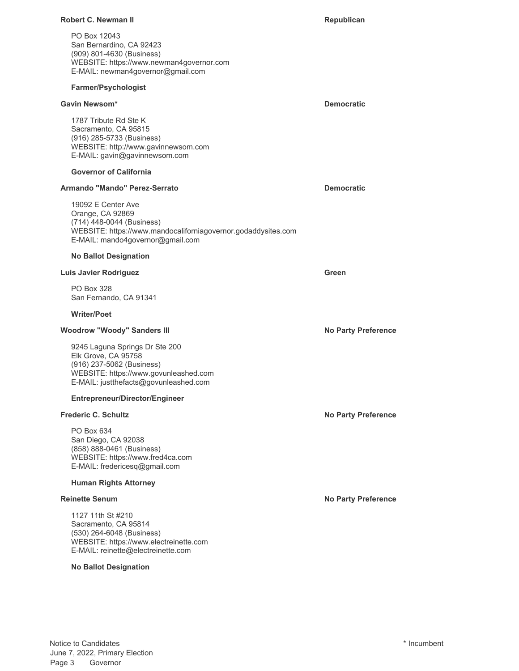## **Robert C. Newman II Republican Republican Republican**

PO Box 12043 San Bernardino, CA 92423 (909) 801-4630 (Business) WEBSITE: https://www.newman4governor.com E-MAIL: newman4governor@gmail.com

## **Farmer/Psychologist**

## **Gavin Newsom\* Democratic**

1787 Tribute Rd Ste K Sacramento, CA 95815 (916) 285-5733 (Business) WEBSITE: http://www.gavinnewsom.com E-MAIL: gavin@gavinnewsom.com

## **Governor of California**

## **Armando "Mando" Perez-Serrato Democratic**

19092 E Center Ave Orange, CA 92869 (714) 448-0044 (Business) WEBSITE: https://www.mandocaliforniagovernor.godaddysites.com E-MAIL: mando4governor@gmail.com

## **No Ballot Designation**

## **Luis Javier Rodriguez Green**

PO Box 328 San Fernando, CA 91341

## **Writer/Poet**

## **Woodrow "Woody" Sanders III No Party Preference No Party Preference**

9245 Laguna Springs Dr Ste 200 Elk Grove, CA 95758 (916) 237-5062 (Business) WEBSITE: https://www.govunleashed.com E-MAIL: justthefacts@govunleashed.com

## **Entrepreneur/Director/Engineer**

PO Box 634 San Diego, CA 92038 (858) 888-0461 (Business) WEBSITE: https://www.fred4ca.com E-MAIL: fredericesq@gmail.com

## **Human Rights Attorney**

1127 11th St #210 Sacramento, CA 95814 (530) 264-6048 (Business) WEBSITE: https://www.electreinette.com E-MAIL: reinette@electreinette.com

## **No Ballot Designation**

**Frederic C. Schultz No Party Preference** 

**Reinette Senum No Party Preference**